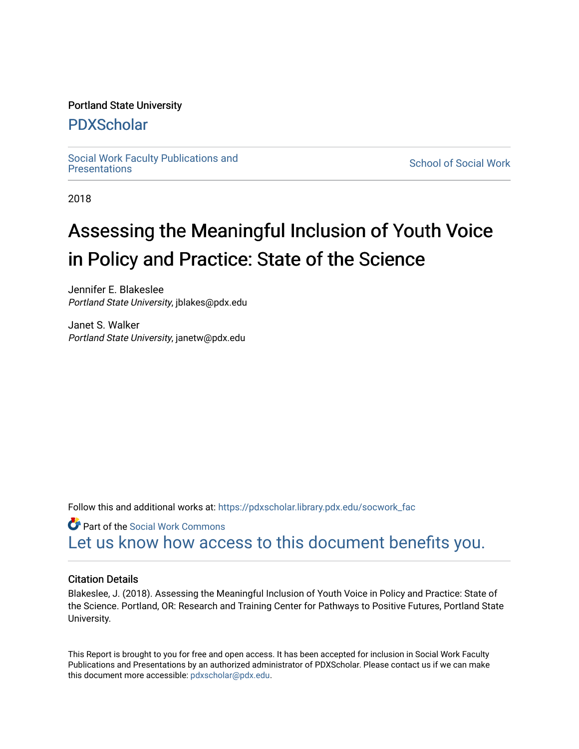#### Portland State University

#### [PDXScholar](https://pdxscholar.library.pdx.edu/)

Social Work Faculty Publications and<br>Presentations

**School of Social Work** 

2018

## Assessing the Meaningful Inclusion of Youth Voice in Policy and Practice: State of the Science

Jennifer E. Blakeslee Portland State University, jblakes@pdx.edu

Janet S. Walker Portland State University, janetw@pdx.edu

Follow this and additional works at: [https://pdxscholar.library.pdx.edu/socwork\\_fac](https://pdxscholar.library.pdx.edu/socwork_fac?utm_source=pdxscholar.library.pdx.edu%2Fsocwork_fac%2F235&utm_medium=PDF&utm_campaign=PDFCoverPages) 

Part of the [Social Work Commons](http://network.bepress.com/hgg/discipline/713?utm_source=pdxscholar.library.pdx.edu%2Fsocwork_fac%2F235&utm_medium=PDF&utm_campaign=PDFCoverPages) [Let us know how access to this document benefits you.](http://library.pdx.edu/services/pdxscholar-services/pdxscholar-feedback/?ref=https://pdxscholar.library.pdx.edu/socwork_fac/235) 

#### Citation Details

Blakeslee, J. (2018). Assessing the Meaningful Inclusion of Youth Voice in Policy and Practice: State of the Science. Portland, OR: Research and Training Center for Pathways to Positive Futures, Portland State University.

This Report is brought to you for free and open access. It has been accepted for inclusion in Social Work Faculty Publications and Presentations by an authorized administrator of PDXScholar. Please contact us if we can make this document more accessible: [pdxscholar@pdx.edu.](mailto:pdxscholar@pdx.edu)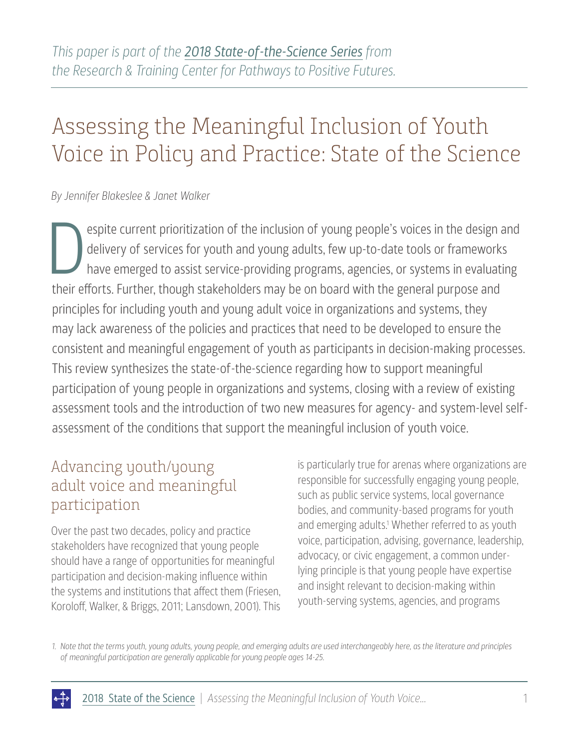# Assessing the Meaningful Inclusion of Youth Voice in Policy and Practice: State of the Science

#### *By Jennifer Blakeslee & Janet Walker*

espite current prioritization of the inclusion of young people's voices in the design and delivery of services for youth and young adults, few up-to-date tools or frameworks have emerged to assist service-providing program delivery of services for youth and young adults, few up-to-date tools or frameworks have emerged to assist service-providing programs, agencies, or systems in evaluating their efforts. Further, though stakeholders may be on board with the general purpose and principles for including youth and young adult voice in organizations and systems, they may lack awareness of the policies and practices that need to be developed to ensure the consistent and meaningful engagement of youth as participants in decision-making processes. This review synthesizes the state-of-the-science regarding how to support meaningful participation of young people in organizations and systems, closing with a review of existing assessment tools and the introduction of two new measures for agency- and system-level selfassessment of the conditions that support the meaningful inclusion of youth voice.

#### Advancing youth/young adult voice and meaningful participation

Over the past two decades, policy and practice stakeholders have recognized that young people should have a range of opportunities for meaningful participation and decision-making influence within the systems and institutions that affect them (Friesen, Koroloff, Walker, & Briggs, 2011; Lansdown, 2001). This

is particularly true for arenas where organizations are responsible for successfully engaging young people, such as public service systems, local governance bodies, and community-based programs for youth and emerging adults.<sup>1</sup> Whether referred to as youth voice, participation, advising, governance, leadership, advocacy, or civic engagement, a common underlying principle is that young people have expertise and insight relevant to decision-making within youth-serving systems, agencies, and programs

*1. Note that the terms youth, young adults, young people, and emerging adults are used interchangeably here, as the literature and principles of meaningful participation are generally applicable for young people ages 14-25.*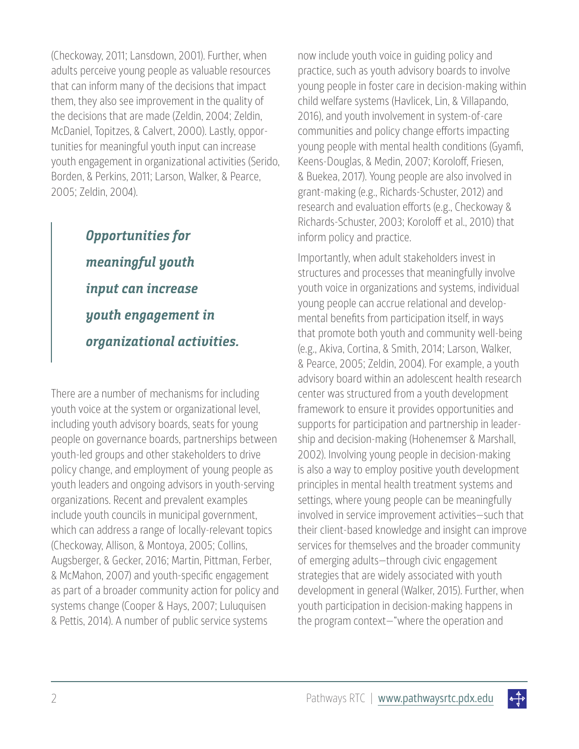(Checkoway, 2011; Lansdown, 2001). Further, when adults perceive young people as valuable resources that can inform many of the decisions that impact them, they also see improvement in the quality of the decisions that are made (Zeldin, 2004; Zeldin, McDaniel, Topitzes, & Calvert, 2000). Lastly, opportunities for meaningful youth input can increase youth engagement in organizational activities (Serido, Borden, & Perkins, 2011; Larson, Walker, & Pearce, 2005; Zeldin, 2004).

> **Opportunities for meaningful youth input can increase youth engagement in organizational activities.**

There are a number of mechanisms for including youth voice at the system or organizational level, including youth advisory boards, seats for young people on governance boards, partnerships between youth-led groups and other stakeholders to drive policy change, and employment of young people as youth leaders and ongoing advisors in youth-serving organizations. Recent and prevalent examples include youth councils in municipal government, which can address a range of locally-relevant topics (Checkoway, Allison, & Montoya, 2005; Collins, Augsberger, & Gecker, 2016; Martin, Pittman, Ferber, & McMahon, 2007) and youth-specific engagement as part of a broader community action for policy and systems change (Cooper & Hays, 2007; Luluquisen & Pettis, 2014). A number of public service systems

now include youth voice in guiding policy and practice, such as youth advisory boards to involve young people in foster care in decision-making within child welfare systems (Havlicek, Lin, & Villapando, 2016), and youth involvement in system-of-care communities and policy change efforts impacting young people with mental health conditions (Gyamfi, Keens-Douglas, & Medin, 2007; Koroloff, Friesen, & Buekea, 2017). Young people are also involved in grant-making (e.g., Richards-Schuster, 2012) and research and evaluation efforts (e.g., Checkoway & Richards-Schuster, 2003; Koroloff et al., 2010) that inform policy and practice.

Importantly, when adult stakeholders invest in structures and processes that meaningfully involve youth voice in organizations and systems, individual young people can accrue relational and developmental benefits from participation itself, in ways that promote both youth and community well-being (e.g., Akiva, Cortina, & Smith, 2014; Larson, Walker, & Pearce, 2005; Zeldin, 2004). For example, a youth advisory board within an adolescent health research center was structured from a youth development framework to ensure it provides opportunities and supports for participation and partnership in leadership and decision-making (Hohenemser & Marshall, 2002). Involving young people in decision-making is also a way to employ positive youth development principles in mental health treatment systems and settings, where young people can be meaningfully involved in service improvement activities—such that their client-based knowledge and insight can improve services for themselves and the broader community of emerging adults—through civic engagement strategies that are widely associated with youth development in general (Walker, 2015). Further, when youth participation in decision-making happens in the program context—"where the operation and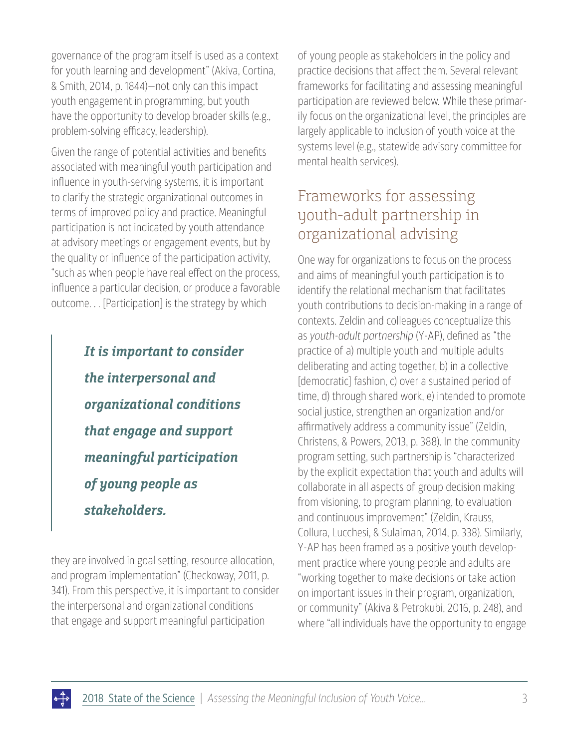governance of the program itself is used as a context for youth learning and development" (Akiva, Cortina, & Smith, 2014, p. 1844)—not only can this impact youth engagement in programming, but youth have the opportunity to develop broader skills (e.g., problem-solving efficacy, leadership).

Given the range of potential activities and benefits associated with meaningful youth participation and influence in youth-serving systems, it is important to clarify the strategic organizational outcomes in terms of improved policy and practice. Meaningful participation is not indicated by youth attendance at advisory meetings or engagement events, but by the quality or influence of the participation activity, "such as when people have real effect on the process, influence a particular decision, or produce a favorable outcome. . . [Participation] is the strategy by which

> **It is important to consider the interpersonal and organizational conditions that engage and support meaningful participation of young people as stakeholders.**

they are involved in goal setting, resource allocation, and program implementation" (Checkoway, 2011, p. 341). From this perspective, it is important to consider the interpersonal and organizational conditions that engage and support meaningful participation

of young people as stakeholders in the policy and practice decisions that affect them. Several relevant frameworks for facilitating and assessing meaningful participation are reviewed below. While these primarily focus on the organizational level, the principles are largely applicable to inclusion of youth voice at the systems level (e.g., statewide advisory committee for mental health services).

### Frameworks for assessing youth-adult partnership in organizational advising

One way for organizations to focus on the process and aims of meaningful youth participation is to identify the relational mechanism that facilitates youth contributions to decision-making in a range of contexts. Zeldin and colleagues conceptualize this as *youth-adult partnership* (Y-AP), defined as "the practice of a) multiple youth and multiple adults deliberating and acting together, b) in a collective [democratic] fashion, c) over a sustained period of time, d) through shared work, e) intended to promote social justice, strengthen an organization and/or affirmatively address a community issue" (Zeldin, Christens, & Powers, 2013, p. 388). In the community program setting, such partnership is "characterized by the explicit expectation that youth and adults will collaborate in all aspects of group decision making from visioning, to program planning, to evaluation and continuous improvement" (Zeldin, Krauss, Collura, Lucchesi, & Sulaiman, 2014, p. 338). Similarly, Y-AP has been framed as a positive youth development practice where young people and adults are "working together to make decisions or take action on important issues in their program, organization, or community" (Akiva & Petrokubi, 2016, p. 248), and where "all individuals have the opportunity to engage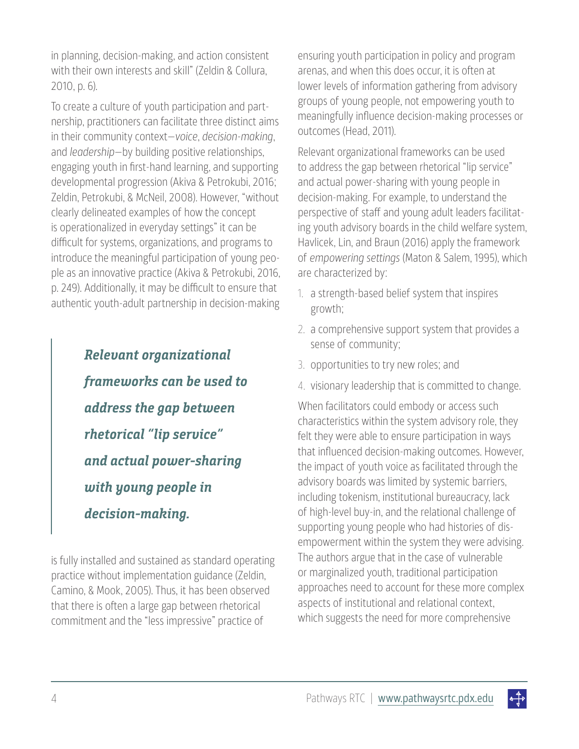in planning, decision-making, and action consistent with their own interests and skill" (Zeldin & Collura, 2010, p. 6).

To create a culture of youth participation and partnership, practitioners can facilitate three distinct aims in their community context—*voice*, *decision-making*, and *leadership*—by building positive relationships, engaging youth in first-hand learning, and supporting developmental progression (Akiva & Petrokubi, 2016; Zeldin, Petrokubi, & McNeil, 2008). However, "without clearly delineated examples of how the concept is operationalized in everyday settings" it can be difficult for systems, organizations, and programs to introduce the meaningful participation of young people as an innovative practice (Akiva & Petrokubi, 2016, p. 249). Additionally, it may be difficult to ensure that authentic youth-adult partnership in decision-making

> **Relevant organizational frameworks can be used to address the gap between rhetorical "lip service" and actual power-sharing with young people in decision-making.**

is fully installed and sustained as standard operating practice without implementation guidance (Zeldin, Camino, & Mook, 2005). Thus, it has been observed that there is often a large gap between rhetorical commitment and the "less impressive" practice of

ensuring youth participation in policy and program arenas, and when this does occur, it is often at lower levels of information gathering from advisory groups of young people, not empowering youth to meaningfully influence decision-making processes or outcomes (Head, 2011).

Relevant organizational frameworks can be used to address the gap between rhetorical "lip service" and actual power-sharing with young people in decision-making. For example, to understand the perspective of staff and young adult leaders facilitating youth advisory boards in the child welfare system, Havlicek, Lin, and Braun (2016) apply the framework of *empowering settings* (Maton & Salem, 1995), which are characterized by:

- 1. a strength-based belief system that inspires growth;
- 2. a comprehensive support system that provides a sense of community;
- 3. opportunities to try new roles; and
- 4. visionary leadership that is committed to change.

When facilitators could embody or access such characteristics within the system advisory role, they felt they were able to ensure participation in ways that influenced decision-making outcomes. However, the impact of youth voice as facilitated through the advisory boards was limited by systemic barriers, including tokenism, institutional bureaucracy, lack of high-level buy-in, and the relational challenge of supporting young people who had histories of disempowerment within the system they were advising. The authors argue that in the case of vulnerable or marginalized youth, traditional participation approaches need to account for these more complex aspects of institutional and relational context, which suggests the need for more comprehensive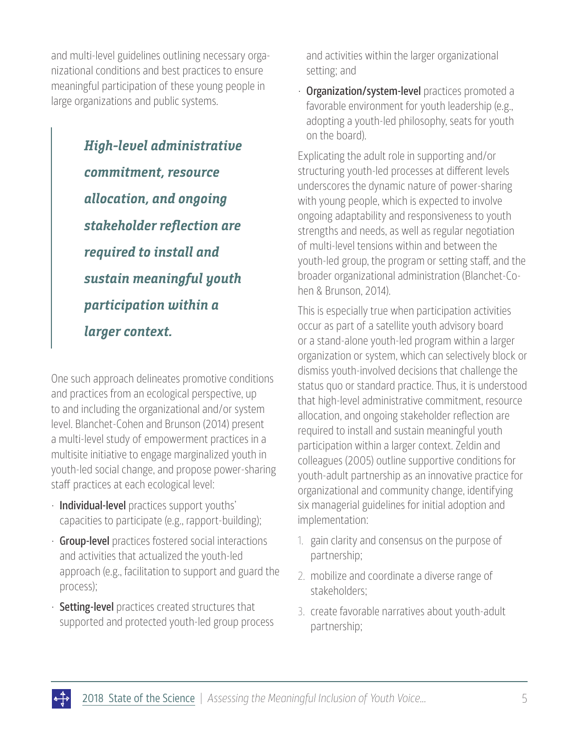and multi-level guidelines outlining necessary organizational conditions and best practices to ensure meaningful participation of these young people in large organizations and public systems.

> **High-level administrative commitment, resource allocation, and ongoing stakeholder reflection are required to install and sustain meaningful youth participation within a larger context.**

One such approach delineates promotive conditions and practices from an ecological perspective, up to and including the organizational and/or system level. Blanchet-Cohen and Brunson (2014) present a multi-level study of empowerment practices in a multisite initiative to engage marginalized youth in youth-led social change, and propose power-sharing staff practices at each ecological level:

- Individual-level practices support youths' capacities to participate (e.g., rapport-building);
- **· Group-level** practices fostered social interactions and activities that actualized the youth-led approach (e.g., facilitation to support and guard the process);
- $\cdot$  Setting-level practices created structures that supported and protected youth-led group process

and activities within the larger organizational setting; and

• Organization/system-level practices promoted a favorable environment for youth leadership (e.g., adopting a youth-led philosophy, seats for youth on the board).

Explicating the adult role in supporting and/or structuring youth-led processes at different levels underscores the dynamic nature of power-sharing with young people, which is expected to involve ongoing adaptability and responsiveness to youth strengths and needs, as well as regular negotiation of multi-level tensions within and between the youth-led group, the program or setting staff, and the broader organizational administration (Blanchet-Cohen & Brunson, 2014).

This is especially true when participation activities occur as part of a satellite youth advisory board or a stand-alone youth-led program within a larger organization or system, which can selectively block or dismiss youth-involved decisions that challenge the status quo or standard practice. Thus, it is understood that high-level administrative commitment, resource allocation, and ongoing stakeholder reflection are required to install and sustain meaningful youth participation within a larger context. Zeldin and colleagues (2005) outline supportive conditions for youth-adult partnership as an innovative practice for organizational and community change, identifying six managerial guidelines for initial adoption and implementation:

- 1. gain clarity and consensus on the purpose of partnership;
- 2. mobilize and coordinate a diverse range of stakeholders;
- 3. create favorable narratives about youth-adult partnership;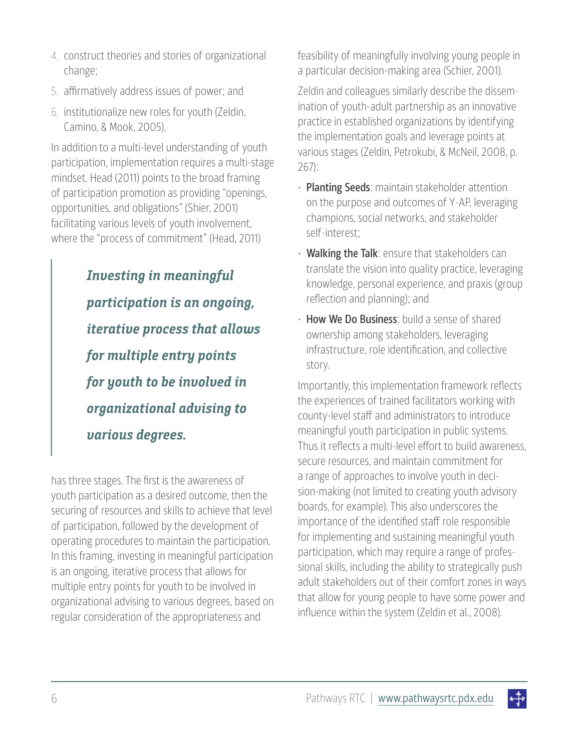- 4. construct theories and stories of organizational change;
- 5. affirmatively address issues of power; and
- 6. institutionalize new roles for youth (Zeldin, Camino, & Mook, 2005).

In addition to a multi-level understanding of youth participation, implementation requires a multi-stage mindset. Head (2011) points to the broad framing of participation promotion as providing "openings, opportunities, and obligations" (Shier, 2001) facilitating various levels of youth involvement, where the "process of commitment" (Head, 2011)

> **Investing in meaningful participation is an ongoing, iterative process that allows for multiple entry points for youth to be involved in organizational advising to various degrees.**

has three stages. The first is the awareness of youth participation as a desired outcome, then the securing of resources and skills to achieve that level of participation, followed by the development of operating procedures to maintain the participation. In this framing, investing in meaningful participation is an ongoing, iterative process that allows for multiple entry points for youth to be involved in organizational advising to various degrees, based on regular consideration of the appropriateness and

feasibility of meaningfully involving young people in a particular decision-making area (Schier, 2001).

Zeldin and colleagues similarly describe the dissemination of youth-adult partnership as an innovative practice in established organizations by identifying the implementation goals and leverage points at various stages (Zeldin, Petrokubi, & McNeil, 2008, p. 267):

- · Planting Seeds: maintain stakeholder attention on the purpose and outcomes of Y-AP, leveraging champions, social networks, and stakeholder self-interest;
- Walking the Talk: ensure that stakeholders can translate the vision into quality practice, leveraging knowledge, personal experience, and praxis (group reflection and planning); and
- How We Do Business: build a sense of shared ownership among stakeholders, leveraging infrastructure, role identification, and collective story.

Importantly, this implementation framework reflects the experiences of trained facilitators working with county-level staff and administrators to introduce meaningful youth participation in public systems. Thus it reflects a multi-level effort to build awareness, secure resources, and maintain commitment for a range of approaches to involve youth in decision-making (not limited to creating youth advisory boards, for example). This also underscores the importance of the identified staff role responsible for implementing and sustaining meaningful youth participation, which may require a range of professional skills, including the ability to strategically push adult stakeholders out of their comfort zones in ways that allow for young people to have some power and influence within the system (Zeldin et al., 2008).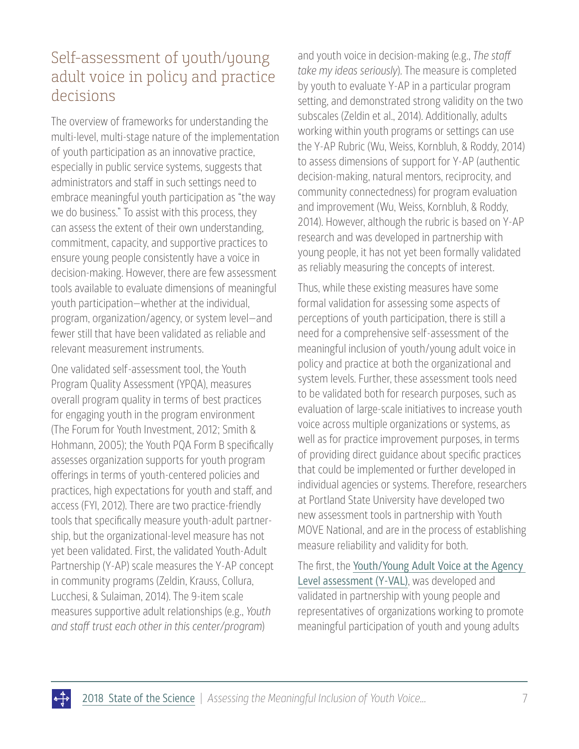### Self-assessment of youth/young adult voice in policy and practice decisions

The overview of frameworks for understanding the multi-level, multi-stage nature of the implementation of youth participation as an innovative practice, especially in public service systems, suggests that administrators and staff in such settings need to embrace meaningful youth participation as "the way we do business." To assist with this process, they can assess the extent of their own understanding, commitment, capacity, and supportive practices to ensure young people consistently have a voice in decision-making. However, there are few assessment tools available to evaluate dimensions of meaningful youth participation—whether at the individual, program, organization/agency, or system level—and fewer still that have been validated as reliable and relevant measurement instruments.

One validated self-assessment tool, the Youth Program Quality Assessment (YPQA), measures overall program quality in terms of best practices for engaging youth in the program environment (The Forum for Youth Investment, 2012; Smith & Hohmann, 2005); the Youth PQA Form B specifically assesses organization supports for youth program offerings in terms of youth-centered policies and practices, high expectations for youth and staff, and access (FYI, 2012). There are two practice-friendly tools that specifically measure youth-adult partnership, but the organizational-level measure has not yet been validated. First, the validated Youth-Adult Partnership (Y-AP) scale measures the Y-AP concept in community programs (Zeldin, Krauss, Collura, Lucchesi, & Sulaiman, 2014). The 9-item scale measures supportive adult relationships (e.g., *Youth and staff trust each other in this center/program*)

and youth voice in decision-making (e.g., *The staff take my ideas seriously*). The measure is completed by youth to evaluate Y-AP in a particular program setting, and demonstrated strong validity on the two subscales (Zeldin et al., 2014). Additionally, adults working within youth programs or settings can use the Y-AP Rubric (Wu, Weiss, Kornbluh, & Roddy, 2014) to assess dimensions of support for Y-AP (authentic decision-making, natural mentors, reciprocity, and community connectedness) for program evaluation and improvement (Wu, Weiss, Kornbluh, & Roddy, 2014). However, although the rubric is based on Y-AP research and was developed in partnership with young people, it has not yet been formally validated as reliably measuring the concepts of interest.

Thus, while these existing measures have some formal validation for assessing some aspects of perceptions of youth participation, there is still a need for a comprehensive self-assessment of the meaningful inclusion of youth/young adult voice in policy and practice at both the organizational and system levels. Further, these assessment tools need to be validated both for research purposes, such as evaluation of large-scale initiatives to increase youth voice across multiple organizations or systems, as well as for practice improvement purposes, in terms of providing direct guidance about specific practices that could be implemented or further developed in individual agencies or systems. Therefore, researchers at Portland State University have developed two new assessment tools in partnership with Youth MOVE National, and are in the process of establishing measure reliability and validity for both.

The first, the [Youth/Young Adult Voice at the Agency](https://www.pathwaysrtc.pdx.edu/pdf/state-of-the-science-summaries-2018-yval.pdf)  [Level assessment \(Y-VAL\)](https://www.pathwaysrtc.pdx.edu/pdf/state-of-the-science-summaries-2018-yval.pdf), was developed and validated in partnership with young people and representatives of organizations working to promote meaningful participation of youth and young adults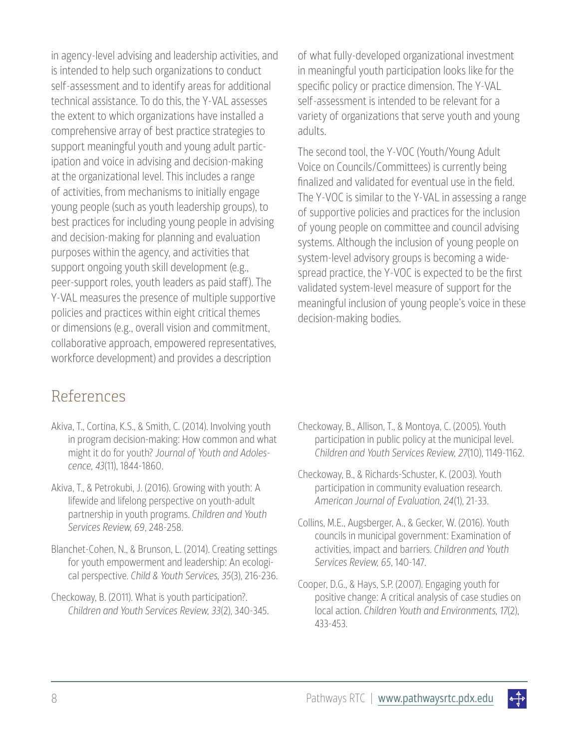in agency-level advising and leadership activities, and is intended to help such organizations to conduct self-assessment and to identify areas for additional technical assistance. To do this, the Y-VAL assesses the extent to which organizations have installed a comprehensive array of best practice strategies to support meaningful youth and young adult participation and voice in advising and decision-making at the organizational level. This includes a range of activities, from mechanisms to initially engage young people (such as youth leadership groups), to best practices for including young people in advising and decision-making for planning and evaluation purposes within the agency, and activities that support ongoing youth skill development (e.g., peer-support roles, youth leaders as paid staff). The Y-VAL measures the presence of multiple supportive policies and practices within eight critical themes or dimensions (e.g., overall vision and commitment, collaborative approach, empowered representatives, workforce development) and provides a description

#### References

- Akiva, T., Cortina, K.S., & Smith, C. (2014). Involving youth in program decision-making: How common and what might it do for youth? *Journal of Youth and Adolescence, 43*(11), 1844-1860.
- Akiva, T., & Petrokubi, J. (2016). Growing with youth: A lifewide and lifelong perspective on youth-adult partnership in youth programs. *Children and Youth Services Review, 69*, 248-258.
- Blanchet-Cohen, N., & Brunson, L. (2014). Creating settings for youth empowerment and leadership: An ecological perspective. *Child & Youth Services, 35*(3), 216-236.
- Checkoway, B. (2011). What is youth participation?. *Children and Youth Services Review, 33*(2), 340-345.

of what fully-developed organizational investment in meaningful youth participation looks like for the specific policy or practice dimension. The Y-VAL self-assessment is intended to be relevant for a variety of organizations that serve youth and young adults.

The second tool, the Y-VOC (Youth/Young Adult Voice on Councils/Committees) is currently being finalized and validated for eventual use in the field. The Y-VOC is similar to the Y-VAL in assessing a range of supportive policies and practices for the inclusion of young people on committee and council advising systems. Although the inclusion of young people on system-level advisory groups is becoming a widespread practice, the Y-VOC is expected to be the first validated system-level measure of support for the meaningful inclusion of young people's voice in these decision-making bodies.

- Checkoway, B., Allison, T., & Montoya, C. (2005). Youth participation in public policy at the municipal level. *Children and Youth Services Review, 27*(10), 1149-1162.
- Checkoway, B., & Richards-Schuster, K. (2003). Youth participation in community evaluation research. *American Journal of Evaluation, 24*(1), 21-33.
- Collins, M.E., Augsberger, A., & Gecker, W. (2016). Youth councils in municipal government: Examination of activities, impact and barriers. *Children and Youth Services Review, 65*, 140-147.
- Cooper, D.G., & Hays, S.P. (2007). Engaging youth for positive change: A critical analysis of case studies on local action. *Children Youth and Environments, 17*(2), 433-453.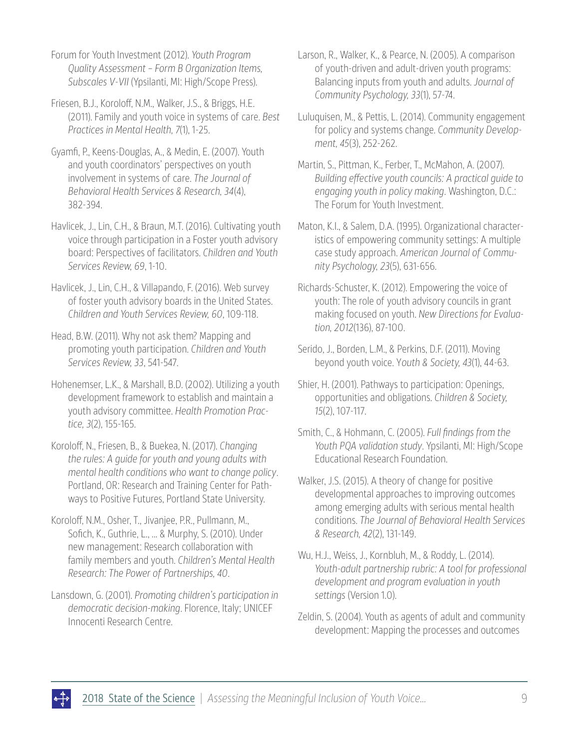Forum for Youth Investment (2012). *Youth Program Quality Assessment – Form B Organization Items, Subscales V-VII* (Ypsilanti, MI: High/Scope Press).

Friesen, B.J., Koroloff, N.M., Walker, J.S., & Briggs, H.E. (2011). Family and youth voice in systems of care. *Best Practices in Mental Health, 7*(1), 1-25.

Gyamfi, P., Keens-Douglas, A., & Medin, E. (2007). Youth and youth coordinators' perspectives on youth involvement in systems of care. *The Journal of Behavioral Health Services & Research, 34*(4), 382-394.

Havlicek, J., Lin, C.H., & Braun, M.T. (2016). Cultivating youth voice through participation in a Foster youth advisory board: Perspectives of facilitators. *Children and Youth Services Review, 69*, 1-10.

Havlicek, J., Lin, C.H., & Villapando, F. (2016). Web survey of foster youth advisory boards in the United States. *Children and Youth Services Review, 60*, 109-118.

Head, B.W. (2011). Why not ask them? Mapping and promoting youth participation. *Children and Youth Services Review, 33*, 541-547.

Hohenemser, L.K., & Marshall, B.D. (2002). Utilizing a youth development framework to establish and maintain a youth advisory committee. *Health Promotion Practice, 3*(2), 155-165.

Koroloff, N., Friesen, B., & Buekea, N. (2017). *Changing the rules: A guide for youth and young adults with mental health conditions who want to change policy*. Portland, OR: Research and Training Center for Pathways to Positive Futures, Portland State University.

Koroloff, N.M., Osher, T., Jivanjee, P.R., Pullmann, M., Sofich, K., Guthrie, L., ... & Murphy, S. (2010). Under new management: Research collaboration with family members and youth. *Children's Mental Health Research: The Power of Partnerships, 40*.

Lansdown, G. (2001). *Promoting children's participation in democratic decision-making*. Florence, Italy; UNICEF Innocenti Research Centre.

Larson, R., Walker, K., & Pearce, N. (2005). A comparison of youth-driven and adult-driven youth programs: Balancing inputs from youth and adults. *Journal of Community Psychology, 33*(1), 57-74.

Luluquisen, M., & Pettis, L. (2014). Community engagement for policy and systems change. *Community Development, 45*(3), 252-262.

Martin, S., Pittman, K., Ferber, T., McMahon, A. (2007). *Building effective youth councils: A practical guide to engaging youth in policy making*. Washington, D.C.: The Forum for Youth Investment.

Maton, K.I., & Salem, D.A. (1995). Organizational characteristics of empowering community settings: A multiple case study approach. *American Journal of Community Psychology, 23*(5), 631-656.

Richards-Schuster, K. (2012). Empowering the voice of youth: The role of youth advisory councils in grant making focused on youth. *New Directions for Evaluation, 2012*(136), 87-100.

Serido, J., Borden, L.M., & Perkins, D.F. (2011). Moving beyond youth voice. Y*outh & Society, 43*(1), 44-63.

Shier, H. (2001). Pathways to participation: Openings, opportunities and obligations. *Children & Society, 15*(2), 107-117.

Smith, C., & Hohmann, C. (2005). *Full findings from the Youth PQA validation study*. Ypsilanti, MI: High/Scope Educational Research Foundation.

Walker, J.S. (2015). A theory of change for positive developmental approaches to improving outcomes among emerging adults with serious mental health conditions. *The Journal of Behavioral Health Services & Research, 42*(2), 131-149.

Wu, H.J., Weiss, J., Kornbluh, M., & Roddy, L. (2014). *Youth-adult partnership rubric: A tool for professional development and program evaluation in youth settings* (Version 1.0).

Zeldin, S. (2004). Youth as agents of adult and community development: Mapping the processes and outcomes